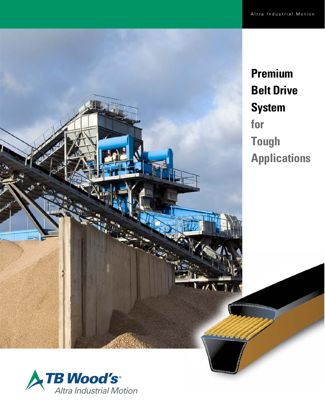

**Premium Belt Drive System for Tough Applications**

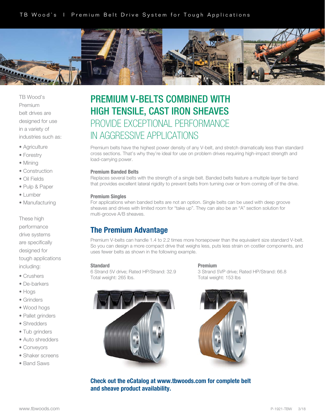

TB Wood's Premium belt drives are designed for use in a variety of industries such as:

- Agriculture
- Forestry
- Mining
- Construction
- Oil Fields
- Pulp & Paper
- Lumber
- Manufacturing

These high performance drive systems are specifically designed for tough applications including:

- Crushers
- De-barkers
- Hogs
- Grinders
- Wood hogs
- Pallet grinders
- Shredders
- Tub grinders
- Auto shredders
- Conveyors
- Shaker screens
- Band Saws

# PREMIUM V-BELTS COMBINED WITH HIGH TENSILE, CAST IRON SHEAVES PROVIDE EXCEPTIONAL PERFORMANCE IN AGGRESSIVE APPLICATIONS

Premium belts have the highest power density of any V-belt, and stretch dramatically less than standard cross sections. That's why they're ideal for use on problem drives requiring high-impact strength and load-carrying power.

# Premium Banded Belts

Replaces several belts with the strength of a single belt. Banded belts feature a multiple layer tie band that provides excellent lateral rigidity to prevent belts from turning over or from coming off of the drive.

# Premium Singles

For applications when banded belts are not an option. Single belts can be used with deep groove sheaves and drives with limited room for "take up". They can also be an "A" section solution for multi-groove A/B sheaves.

# The Premium Advantage

Premium V-belts can handle 1.4 to 2.2 times more horsepower than the equivalent size standard V-belt. So you can design a more compact drive that weighs less, puts less strain on costlier components, and uses fewer belts as shown in the following example.

# Standard

6 Strand 5V drive; Rated HP/Strand: 32.9 Total weight: 265 lbs.



Premium

3 Strand 5VP drive; Rated HP/Strand: 66.8 Total weight: 153 lbs



Check out the eCatalog at www.tbwoods.com for complete belt and sheave product availability.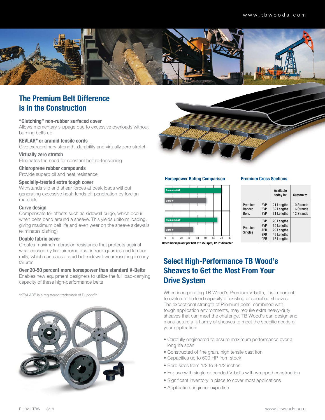

# The Premium Belt Difference is in the Construction

## "Clutching" non-rubber surfaced cover

Allows momentary slippage due to excessive overloads without burning belts up

# KEVLAR\* or aramid tensile cords

Give extraordinary strength, durability and virtually zero stretch Virtually zero stretch

Eliminates the need for constant belt re-tensioning

# Chloroprene rubber compounds

Provide superb oil and heat resistance

# Specially-treated extra tough cover

Withstands slip and shear forces at peak loads without generating excessive heat; fends off penetration by foreign materials

# Curve design

Compensate for effects such as sidewall bulge, which occur when belts bend around a sheave. This yields uniform loading, giving maximum belt life and even wear on the sheave sidewalls (eliminates dishing)

# Double fabric cover

Creates maximum abrasion resistance that protects against wear caused by fine airborne dust in rock quarries and lumber mills, which can cause rapid belt sidewall wear resulting in early failures

# Over 20-50 percent more horsepower than standard V-Belts

Enables new equipment designers to utilize the full load-carrying capacity of these high-performance belts

\*KEVLAR® is a registered trademark of Dupont™





### Horsepower Rating Comparison



#### Premium Cross Sections

|  |                           |                                                      | Available<br>today in:                                             | Custom to:               |
|--|---------------------------|------------------------------------------------------|--------------------------------------------------------------------|--------------------------|
|  | Premium<br>Banded         | 3VP<br>5VP                                           | 21 Lengths<br>32 Lengths                                           | 10 Strands<br>16 Strands |
|  | <b>Belts</b>              | 8VP                                                  | 31 Lengths                                                         | 12 Strands               |
|  | Premium<br><b>Singles</b> | 5VP<br>8VP<br><b>APR</b><br><b>RPR</b><br><b>CPR</b> | 26 Lengths<br>15 Lengths<br>29 Lengths<br>49 Lengths<br>15 Lengths |                          |

Rated horsepower per belt at 1750 rpm, 12.5" diameter

# Select High-Performance TB Wood's Sheaves to Get the Most From Your Drive System

When incorporating TB Wood's Premium V-belts, it is important to evaluate the load capacity of existing or specified sheaves. The exceptional strength of Premium belts, combined with tough application environments, may require extra heavy-duty sheaves that can meet the challenge. TB Wood's can design and manufacture a full array of sheaves to meet the specific needs of your application.

- Carefully engineered to assure maximum performance over a long life span
- Constructed of fine grain, high tensile cast iron
- Capacities up to 600 HP from stock
- Bore sizes from 1/2 to 8-1/2 inches
- For use with single or banded V-belts with wrapped construction
- Significant inventory in place to cover most applications
- Application engineer expertise